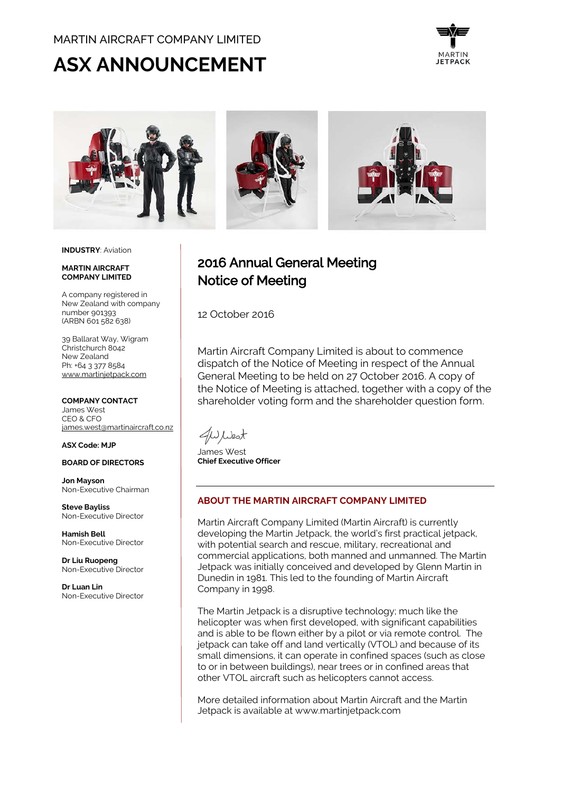## MARTIN AIRCRAFT COMPANY LIMITED

# **ASX ANNOUNCEMENT**





#### **INDUSTRY**: Aviation

#### **MARTIN AIRCRAFT COMPANY LIMITED**

A company registered in New Zealand with company number 901393 (ARBN 601 582 638)

39 Ballarat Way, Wigram Christchurch 8042 New Zealand Ph: +64 3 377 8584 [www.martinjetpack.com](http://www.martinjetpack.com/)

#### **COMPANY CONTACT**

James West CEO & CFO [james.west@martinaircraft.co.nz](mailto:James.west@martinaircraft.co.nz)

**ASX Code: MJP**

#### **BOARD OF DIRECTORS**

**Jon Mayson**  Non-Executive Chairman

**Steve Bayliss** Non-Executive Director

**Hamish Bell** Non-Executive Director

**Dr Liu Ruopeng**  Non-Executive Director

**Dr Luan Lin** Non-Executive Director

# 2016 Annual General Meeting Notice of Meeting

12 October 2016

Martin Aircraft Company Limited is about to commence dispatch of the Notice of Meeting in respect of the Annual General Meeting to be held on 27 October 2016. A copy of the Notice of Meeting is attached, together with a copy of the shareholder voting form and the shareholder question form.

JWWest

James West **Chief Executive Officer**

#### **ABOUT THE MARTIN AIRCRAFT COMPANY LIMITED**

Martin Aircraft Company Limited (Martin Aircraft) is currently developing the Martin Jetpack, the world's first practical jetpack, with potential search and rescue, military, recreational and commercial applications, both manned and unmanned. The Martin Jetpack was initially conceived and developed by Glenn Martin in Dunedin in 1981. This led to the founding of Martin Aircraft Company in 1998.

The Martin Jetpack is a disruptive technology; much like the helicopter was when first developed, with significant capabilities and is able to be flown either by a pilot or via remote control. The jetpack can take off and land vertically (VTOL) and because of its small dimensions, it can operate in confined spaces (such as close to or in between buildings), near trees or in confined areas that other VTOL aircraft such as helicopters cannot access.

More detailed information about Martin Aircraft and the Martin Jetpack is available at www.martinjetpack.com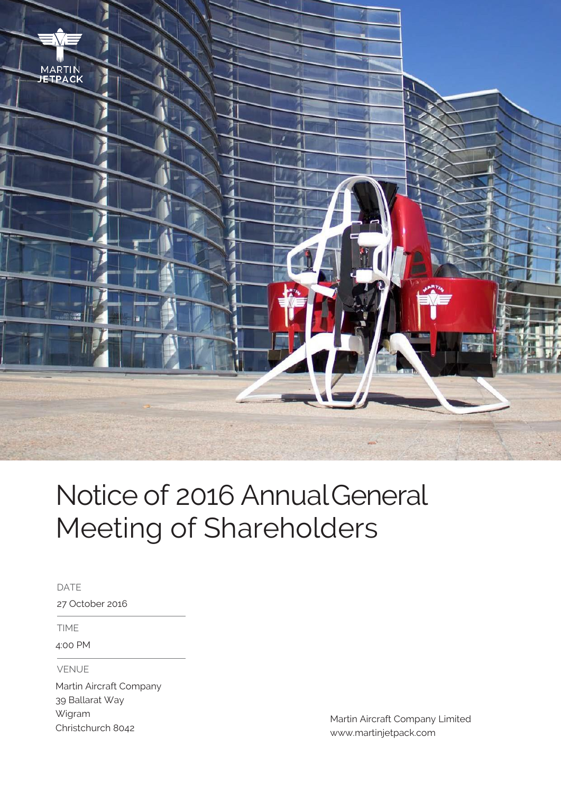

# Notice of 2016 AnnualGeneral Meeting of Shareholders

DATE

27 October 2016

TIME

4:00 PM

VENUE

Martin Aircraft Company 39 Ballarat Way Wigram Christchurch 8042

Martin Aircraft Company Limited www.martinjetpack.com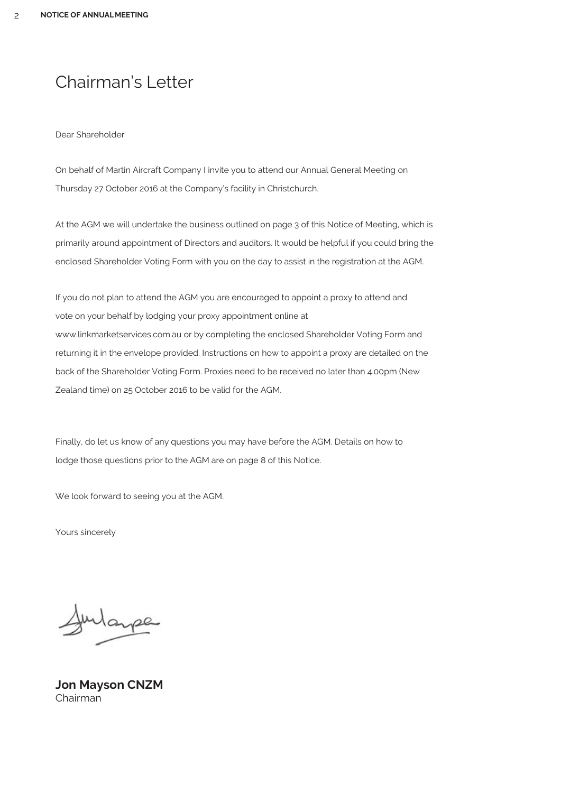# Chairman's Letter

#### Dear Shareholder

On behalf of Martin Aircraft Company I invite you to attend our Annual General Meeting on Thursday 27 October 2016 at the Company's facility in Christchurch.

At the AGM we will undertake the business outlined on page 3 of this Notice of Meeting, which is primarily around appointment of Directors and auditors. It would be helpful if you could bring the enclosed Shareholder Voting Form with you on the day to assist in the registration at the AGM.

If you do not plan to attend the AGM you are encouraged to appoint a proxy to [attend and](http://www/)  [vote on your behalf by lodging your proxy appointment online at](http://www/)  [www.li](http://www/)nkmarketservices.com.au or by completing the enclosed Shareholder Voting Form and returning it in the envelope provided. Instructions on how to appoint a proxy are detailed on the back of the Shareholder Voting Form. Proxies need to be received no later than 4.00pm (New Zealand time) on 25 October 2016 to be valid for the AGM.

Finally, do let us know of any questions you may have before the AGM. Details on how to lodge those questions prior to the AGM are on page 8 of this Notice.

We look forward to seeing you at the AGM.

Yours sincerely

Wayse

**Jon Mayson CNZM** Chairman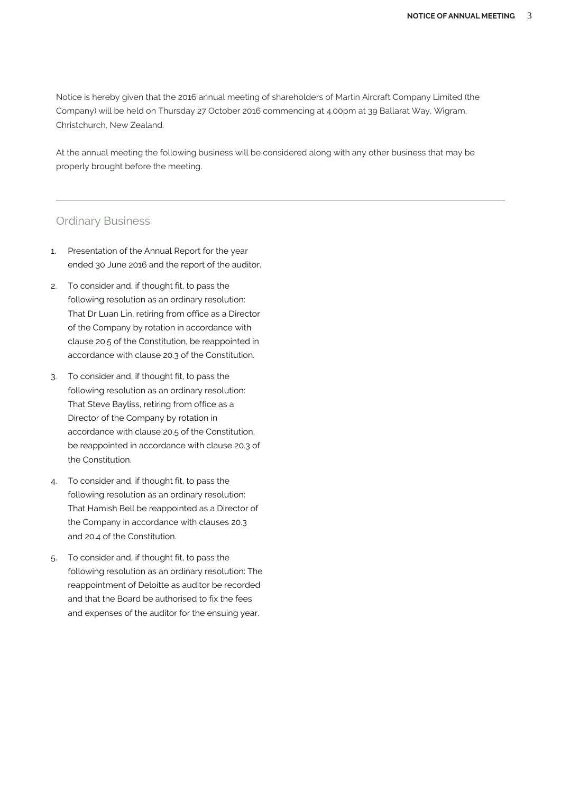Notice is hereby given that the 2016 annual meeting of shareholders of Martin Aircraft Company Limited (the Company) will be held on Thursday 27 October 2016 commencing at 4.00pm at 39 Ballarat Way, Wigram, Christchurch, New Zealand.

At the annual meeting the following business will be considered along with any other business that may be properly brought before the meeting.

#### Ordinary Business

- 1. Presentation of the Annual Report for the year ended 30 June 2016 and the report of the auditor.
- 2. To consider and, if thought fit, to pass the following resolution as an ordinary resolution: That Dr Luan Lin, retiring from office as a Director of the Company by rotation in accordance with clause 20.5 of the Constitution, be reappointed in accordance with clause 20.3 of the Constitution.
- 3. To consider and, if thought fit, to pass the following resolution as an ordinary resolution: That Steve Bayliss, retiring from office as a Director of the Company by rotation in accordance with clause 20.5 of the Constitution, be reappointed in accordance with clause 20.3 of the Constitution.
- 4. To consider and, if thought fit, to pass the following resolution as an ordinary resolution: That Hamish Bell be reappointed as a Director of the Company in accordance with clauses 20.3 and 20.4 of the Constitution.
- 5. To consider and, if thought fit, to pass the following resolution as an ordinary resolution: The reappointment of Deloitte as auditor be recorded and that the Board be authorised to fix the fees and expenses of the auditor for the ensuing year.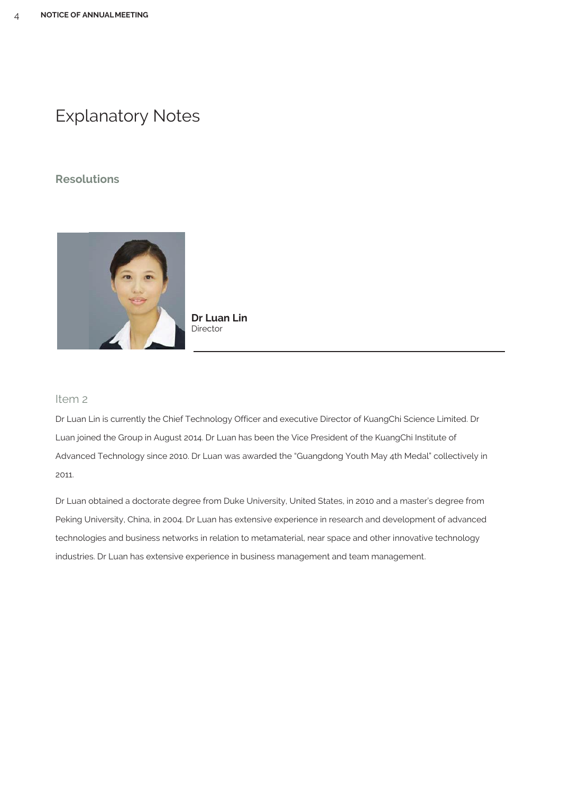# Explanatory Notes

### **Resolutions**



**Dr Luan Lin Director** 

#### Item 2

Dr Luan Lin is currently the Chief Technology Officer and executive Director of KuangChi Science Limited. Dr Luan joined the Group in August 2014. Dr Luan has been the Vice President of the KuangChi Institute of Advanced Technology since 2010. Dr Luan was awarded the "Guangdong Youth May 4th Medal" collectively in 2011.

Dr Luan obtained a doctorate degree from Duke University, United States, in 2010 and a master's degree from Peking University, China, in 2004. Dr Luan has extensive experience in research and development of advanced technologies and business networks in relation to metamaterial, near space and other innovative technology industries. Dr Luan has extensive experience in business management and team management.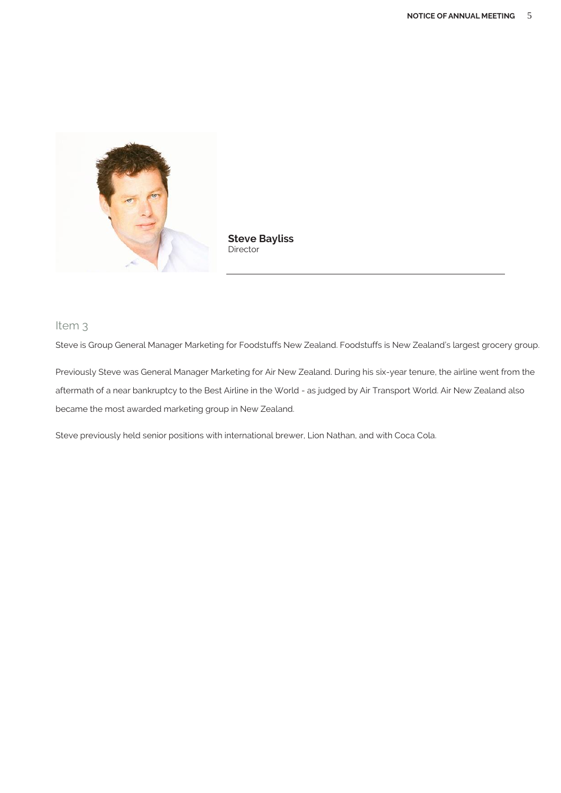

**Steve Bayliss** Director

### Item 3

Steve is Group General Manager Marketing for Foodstuffs New Zealand. Foodstuffs is New Zealand's largest grocery group.

Previously Steve was General Manager Marketing for Air New Zealand. During his six-year tenure, the airline went from the aftermath of a near bankruptcy to the Best Airline in the World - as judged by Air Transport World. Air New Zealand also became the most awarded marketing group in New Zealand.

Steve previously held senior positions with international brewer, Lion Nathan, and with Coca Cola.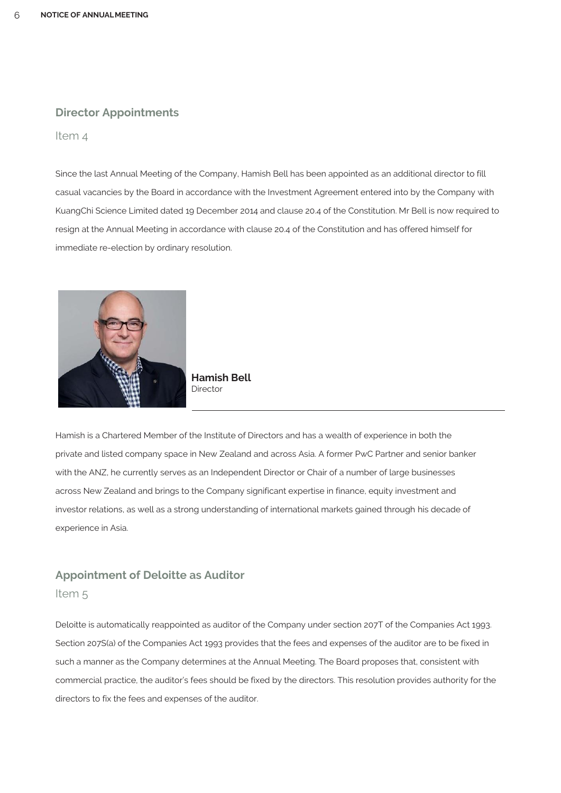#### **Director Appointments**

Item 4

Since the last Annual Meeting of the Company, Hamish Bell has been appointed as an additional director to fill casual vacancies by the Board in accordance with the Investment Agreement entered into by the Company with KuangChi Science Limited dated 19 December 2014 and clause 20.4 of the Constitution. Mr Bell is now required to resign at the Annual Meeting in accordance with clause 20.4 of the Constitution and has offered himself for immediate re-election by ordinary resolution.



**Hamish Bell Director** 

Hamish is a Chartered Member of the Institute of Directors and has a wealth of experience in both the private and listed company space in New Zealand and across Asia. A former PwC Partner and senior banker with the ANZ, he currently serves as an Independent Director or Chair of a number of large businesses across New Zealand and brings to the Company significant expertise in finance, equity investment and investor relations, as well as a strong understanding of international markets gained through his decade of experience in Asia.

# **Appointment of Deloitte as Auditor** Item 5

Deloitte is automatically reappointed as auditor of the Company under section 207T of the Companies Act 1993. Section 207S(a) of the Companies Act 1993 provides that the fees and expenses of the auditor are to be fixed in such a manner as the Company determines at the Annual Meeting. The Board proposes that, consistent with commercial practice, the auditor's fees should be fixed by the directors. This resolution provides authority for the directors to fix the fees and expenses of the auditor.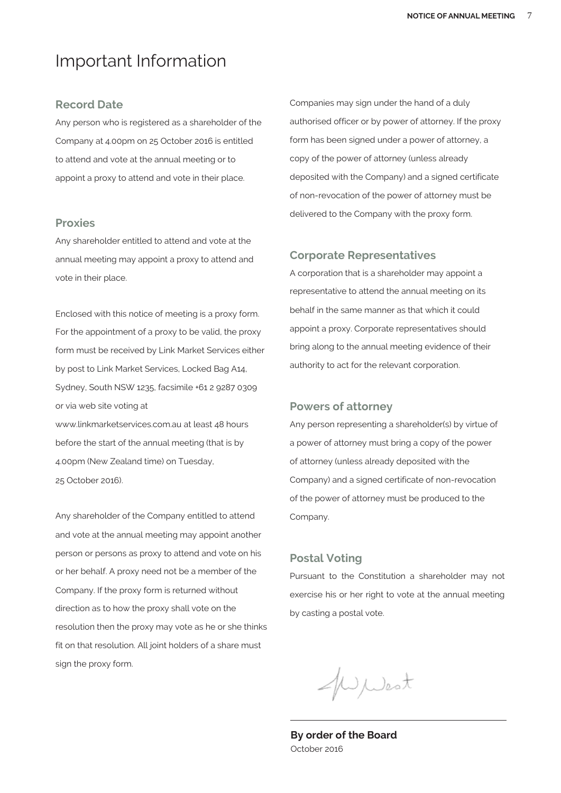# Important Information

#### **Record Date**

Any person who is registered as a shareholder of the Company at 4.00pm on 25 October 2016 is entitled to attend and vote at the annual meeting or to appoint a proxy to attend and vote in their place.

#### **Proxies**

Any shareholder entitled to attend and vote at the annual meeting may appoint a proxy to attend and vote in their place.

Enclosed with this notice of meeting is a proxy form. For the appointment of a proxy to be valid, the proxy form must be received by Link Market Services either by post to Link Market Services, Locked Bag A14, Sydney, South NSW 1235, facsimile +61 2 9287 0309 or via web site voting at

[www.linkmarketservices.com.au](http://www.linkmarketservices.com.au/) at least 48 hours before the start of the annual meeting (that is by 4.00pm (New Zealand time) on Tuesday, 25 October 2016).

Any shareholder of the Company entitled to attend and vote at the annual meeting may appoint another person or persons as proxy to attend and vote on his or her behalf. A proxy need not be a member of the Company. If the proxy form is returned without direction as to how the proxy shall vote on the resolution then the proxy may vote as he or she thinks fit on that resolution. All joint holders of a share must sign the proxy form.

Companies may sign under the hand of a duly authorised officer or by power of attorney. If the proxy form has been signed under a power of attorney, a copy of the power of attorney (unless already deposited with the Company) and a signed certificate of non-revocation of the power of attorney must be delivered to the Company with the proxy form.

#### **Corporate Representatives**

A corporation that is a shareholder may appoint a representative to attend the annual meeting on its behalf in the same manner as that which it could appoint a proxy. Corporate representatives should bring along to the annual meeting evidence of their authority to act for the relevant corporation.

#### **Powers of attorney**

Any person representing a shareholder(s) by virtue of a power of attorney must bring a copy of the power of attorney (unless already deposited with the Company) and a signed certificate of non-revocation of the power of attorney must be produced to the Company.

#### **Postal Voting**

Pursuant to the Constitution a shareholder may not exercise his or her right to vote at the annual meeting by casting a postal vote.

WWest

**By order of the Board** October 2016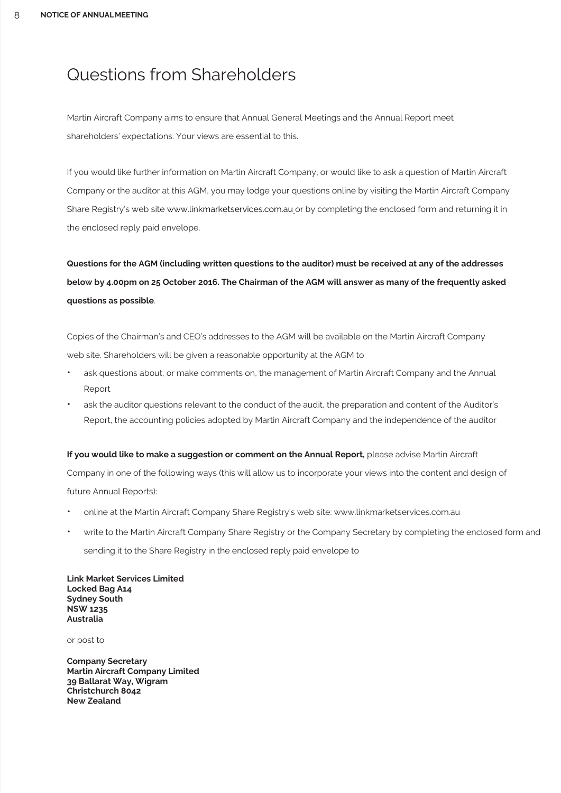# Questions from Shareholders

Martin Aircraft Company aims to ensure that Annual General Meetings and the Annual Report meet shareholders' expectations. Your views are essential to this.

If you would like further information on Martin Aircraft Company, or would like to ask a question of Martin Aircraft Company or the auditor at this AGM, you may lodge your questions online by visiting the Martin Aircraft Company Share Registry's web site www.linkmarketservices.com.au or by completing the enclosed form and returning it in the enclosed reply paid envelope.

**Questions for the AGM (including written questions to the auditor) must be received at any of the addresses below by 4.00pm on 25 October 2016. The Chairman of the AGM will answer as many of the frequently asked questions as possible**.

Copies of the Chairman's and CEO's addresses to the AGM will be available on the Martin Aircraft Company web site. Shareholders will be given a reasonable opportunity at the AGM to

- ask questions about, or make comments on, the management of Martin Aircraft Company and the Annual Report
- ask the auditor questions relevant to the conduct of the audit, the preparation and content of the Auditor's Report, the accounting policies adopted by Martin Aircraft Company and the independence of the auditor

#### **If you would like to make a suggestion or comment on the Annual Report, please advise Martin Aircraft**

Company in one of the following ways (this will allow us to incorporate your views into the content and design of future Annual Reports):

- online at the Martin Aircraft Company Share Registry's web site: www.linkmarketservices.com.au
- write to the Martin Aircraft Company Share Registry or the Company Secretary by completing the enclosed form and sending it to the Share Registry in the enclosed reply paid envelope to

**Link Market Services Limited Locked Bag A14 Sydney South NSW 1235 Australia**

or post to

**Company Secretary Martin Aircraft Company Limited 39 Ballarat Way, Wigram Christchurch 8042 New Zealand**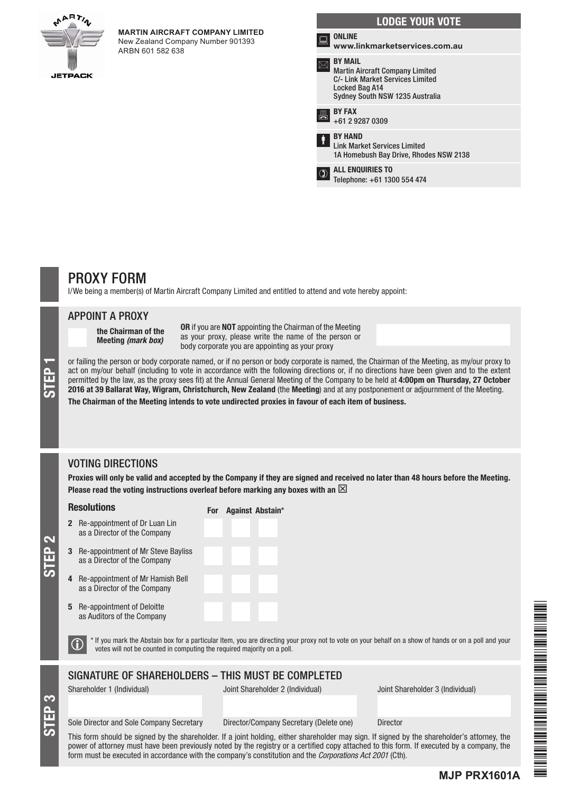

#### **MARTIN AIRCRAFT COMPANY LIMITED** New Zealand Company Number 901393

ARBN 601 582 638

|      | <b>LODGE YOUR VOTE</b>                                                                                                                            |
|------|---------------------------------------------------------------------------------------------------------------------------------------------------|
| كسنا | <b>ONLINE</b><br>www.linkmarketservices.com.au                                                                                                    |
|      | <b>BY MAIL</b><br><b>Martin Aircraft Company Limited</b><br>C/- Link Market Services Limited<br>Locked Bag A14<br>Sydney South NSW 1235 Australia |
| 昌    | <b>BY FAX</b><br>+61 2 9287 0309                                                                                                                  |
| ŧ    | <b>BY HAND</b><br><b>Link Market Services Limited</b><br>1A Homebush Bay Drive, Rhodes NSW 2138                                                   |
|      | <b>ALL ENQUIRIES TO</b><br>Telephone: +61 1300 554 474                                                                                            |
|      |                                                                                                                                                   |

# PROXY FORM

I/We being a member(s) of Martin Aircraft Company Limited and entitled to attend and vote hereby appoint:

For Against Abstain\*

#### APPOINT A PROXY

the Chairman of the Meeting *(mark box)*

OR if you are NOT appointing the Chairman of the Meeting as your proxy, please write the name of the person or body corporate you are appointing as your proxy

or failing the person or body corporate named, or if no person or body corporate is named, the Chairman of the Meeting, as my/our proxy to act on my/our behalf (including to vote in accordance with the following directions act on my/our behalf (including to vote in accordance with the following directions or, if no directions have been given and to the extent permitted by the law, as the proxy sees fit) at the Annual General Meeting of the Company to be held at 4:00pm on Thursday, 27 October 2016 at 39 Ballarat Way, Wigram, Christchurch, New Zealand (the Meeting) and at any postponement or adjournment of the Meeting. The Chairman of the Meeting intends to vote undirected proxies in favour of each item of business.

### VOTING DIRECTIONS

Proxies will only be valid and accepted by the Company if they are signed and received no later than 48 hours before the Meeting. Please read the voting instructions overleaf before marking any boxes with an  $\boxtimes$ 

#### Resolutions

- 2 Re-appointment of Dr Luan Lin as a Director of the Company
- 3 Re-appointment of Mr Steve Bayliss as a Director of the Company
- 4 Re-appointment of Mr Hamish Bell as a Director of the Company
- 5 Re-appointment of Deloitte as Auditors of the Company

 $\bigcirc$  \* If you mark the Abstain box for a particular Item, you are directing your proxy not to vote on your behalf on a show of hands or on a poll and your votes will not be counted in computing the required majority on a

### SIGNATURE OF SHAREHOLDERS – THIS MUST BE COMPLETED

STEP 3

STEP 2

Shareholder 1 (Individual) Joint Shareholder 2 (Individual) Joint Shareholder 3 (Individual)

**MJP PRX1601A**

#### Sole Director and Sole Company Secretary Director/Company Secretary (Delete one) Director

This form should be signed by the shareholder. If a joint holding, either shareholder may sign. If signed by the shareholder's attorney, the power of attorney must have been previously noted by the registry or a certified copy attached to this form. If executed by a company, the form must be executed in accordance with the company's constitution and the *Corporations Act 2001* (Cth).

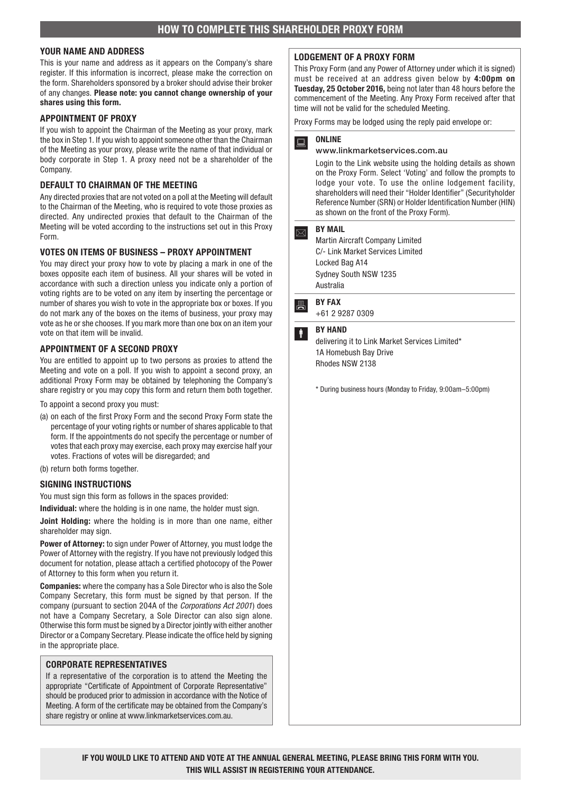#### YOUR NAME AND ADDRESS

This is your name and address as it appears on the Company's share register. If this information is incorrect, please make the correction on the form. Shareholders sponsored by a broker should advise their broker of any changes. Please note: you cannot change ownership of your shares using this form.

#### APPOINTMENT OF PROXY

If you wish to appoint the Chairman of the Meeting as your proxy, mark the box in Step 1. If you wish to appoint someone other than the Chairman of the Meeting as your proxy, please write the name of that individual or body corporate in Step 1. A proxy need not be a shareholder of the Company.

#### DEFAULT TO CHAIRMAN OF THE MEETING

Any directed proxies that are not voted on a poll at the Meeting will default to the Chairman of the Meeting, who is required to vote those proxies as directed. Any undirected proxies that default to the Chairman of the Meeting will be voted according to the instructions set out in this Proxy Form.

#### VOTES ON ITEMS OF BUSINESS – PROXY APPOINTMENT

You may direct your proxy how to vote by placing a mark in one of the boxes opposite each item of business. All your shares will be voted in accordance with such a direction unless you indicate only a portion of voting rights are to be voted on any item by inserting the percentage or number of shares you wish to vote in the appropriate box or boxes. If you do not mark any of the boxes on the items of business, your proxy may vote as he or she chooses. If you mark more than one box on an item your vote on that item will be invalid.

#### APPOINTMENT OF A SECOND PROXY

You are entitled to appoint up to two persons as proxies to attend the Meeting and vote on a poll. If you wish to appoint a second proxy, an additional Proxy Form may be obtained by telephoning the Company's share registry or you may copy this form and return them both together.

To appoint a second proxy you must:

- (a) on each of the first Proxy Form and the second Proxy Form state the percentage of your voting rights or number of shares applicable to that form. If the appointments do not specify the percentage or number of votes that each proxy may exercise, each proxy may exercise half your votes. Fractions of votes will be disregarded; and
- (b) return both forms together.

#### SIGNING INSTRUCTIONS

You must sign this form as follows in the spaces provided:

Individual: where the holding is in one name, the holder must sign.

Joint Holding: where the holding is in more than one name, either shareholder may sign.

**Power of Attorney:** to sign under Power of Attorney, you must lodge the Power of Attorney with the registry. If you have not previously lodged this document for notation, please attach a certified photocopy of the Power of Attorney to this form when you return it.

Companies: where the company has a Sole Director who is also the Sole Company Secretary, this form must be signed by that person. If the company (pursuant to section 204A of the *Corporations Act 2001*) does not have a Company Secretary, a Sole Director can also sign alone. Otherwise this form must be signed by a Director jointly with either another Director or a Company Secretary. Please indicate the office held by signing in the appropriate place.

#### CORPORATE REPRESENTATIVES

If a representative of the corporation is to attend the Meeting the appropriate "Certificate of Appointment of Corporate Representative" should be produced prior to admission in accordance with the Notice of Meeting. A form of the certificate may be obtained from the Company's share registry or online at www.linkmarketservices.com.au.

#### LODGEMENT OF A PROXY FORM

This Proxy Form (and any Power of Attorney under which it is signed) must be received at an address given below by 4:00pm on Tuesday, 25 October 2016, being not later than 48 hours before the commencement of the Meeting. Any Proxy Form received after that time will not be valid for the scheduled Meeting.

Proxy Forms may be lodged using the reply paid envelope or:

### $\overline{a}$  ONLINE

#### www.linkmarketservices.com.au

Login to the Link website using the holding details as shown on the Proxy Form. Select 'Voting' and follow the prompts to lodge your vote. To use the online lodgement facility, shareholders will need their "Holder Identifier" (Securityholder Reference Number (SRN) or Holder Identification Number (HIN) as shown on the front of the Proxy Form).

#### $\boxed{\boxtimes}$  BY MAIL

Martin Aircraft Company Limited C/- Link Market Services Limited Locked Bag A14 Sydney South NSW 1235 Australia

**A** BY FAX

+61 2 9287 0309

#### **BY HAND**

delivering it to Link Market Services Limited\* 1A Homebush Bay Drive Rhodes NSW 2138

\* During business hours (Monday to Friday, 9:00am–5:00pm)